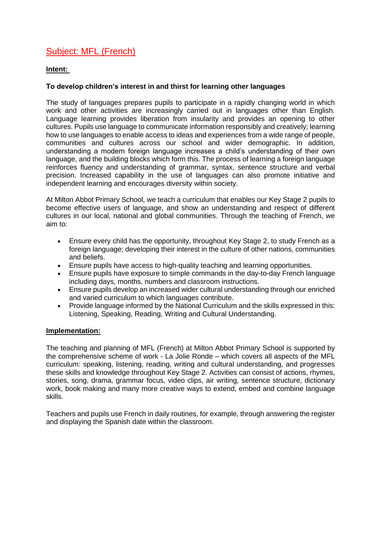# Subject: MFL (French)

## **Intent:**

## **To develop children's interest in and thirst for learning other languages**

The study of languages prepares pupils to participate in a rapidly changing world in which work and other activities are increasingly carried out in languages other than English. Language learning provides liberation from insularity and provides an opening to other cultures. Pupils use language to communicate information responsibly and creatively; learning how to use languages to enable access to ideas and experiences from a wide range of people, communities and cultures across our school and wider demographic. In addition, understanding a modern foreign language increases a child's understanding of their own language, and the building blocks which form this. The process of learning a foreign language reinforces fluency and understanding of grammar, syntax, sentence structure and verbal precision. Increased capability in the use of languages can also promote initiative and independent learning and encourages diversity within society.

At Milton Abbot Primary School, we teach a curriculum that enables our Key Stage 2 pupils to become effective users of language, and show an understanding and respect of different cultures in our local, national and global communities. Through the teaching of French, we aim to:

- Ensure every child has the opportunity, throughout Key Stage 2, to study French as a foreign language; developing their interest in the culture of other nations, communities and beliefs.
- Ensure pupils have access to high-quality teaching and learning opportunities.
- Ensure pupils have exposure to simple commands in the day-to-day French language including days, months, numbers and classroom instructions.
- Ensure pupils develop an increased wider cultural understanding through our enriched and varied curriculum to which languages contribute.
- Provide language informed by the National Curriculum and the skills expressed in this: Listening, Speaking, Reading, Writing and Cultural Understanding.

#### **Implementation:**

The teaching and planning of MFL (French) at Milton Abbot Primary School is supported by the comprehensive scheme of work - La Jolie Ronde – which covers all aspects of the MFL curriculum: speaking, listening, reading, writing and cultural understanding, and progresses these skills and knowledge throughout Key Stage 2. Activities can consist of actions, rhymes, stories, song, drama, grammar focus, video clips, air writing, sentence structure, dictionary work, book making and many more creative ways to extend, embed and combine language skills.

Teachers and pupils use French in daily routines, for example, through answering the register and displaying the Spanish date within the classroom.